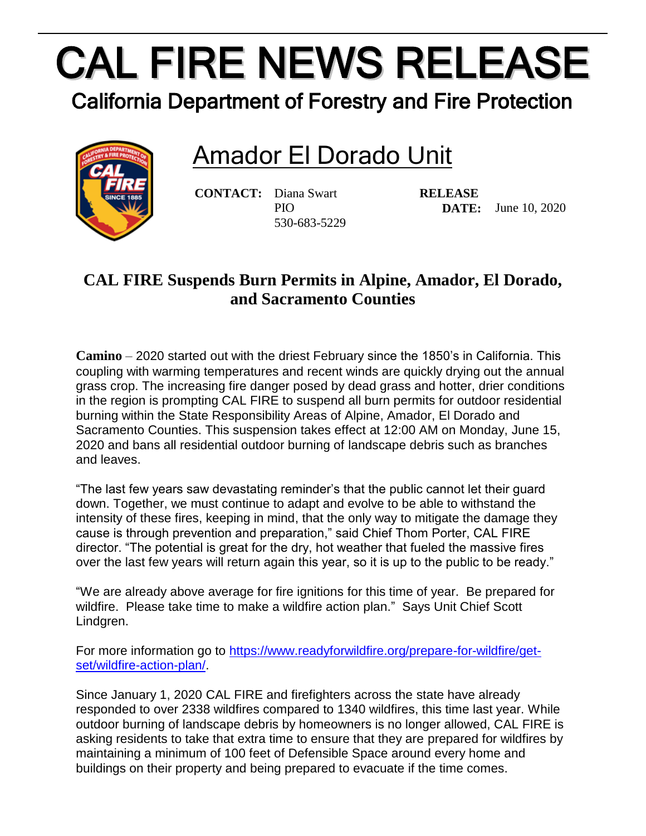## CAL FIRE NEWS RELEASE

California Department of Forestry and Fire Protection

## Amador El Dorado Unit



**CONTACT:** Diana Swart PIO 530-683-5229

**RELEASE DATE:** June 10, 2020

## **CAL FIRE Suspends Burn Permits in Alpine, Amador, El Dorado, and Sacramento Counties**

**Camino** – 2020 started out with the driest February since the 1850's in California. This coupling with warming temperatures and recent winds are quickly drying out the annual grass crop. The increasing fire danger posed by dead grass and hotter, drier conditions in the region is prompting CAL FIRE to suspend all burn permits for outdoor residential burning within the State Responsibility Areas of Alpine, Amador, El Dorado and Sacramento Counties. This suspension takes effect at 12:00 AM on Monday, June 15, 2020 and bans all residential outdoor burning of landscape debris such as branches and leaves.

"The last few years saw devastating reminder's that the public cannot let their guard down. Together, we must continue to adapt and evolve to be able to withstand the intensity of these fires, keeping in mind, that the only way to mitigate the damage they cause is through prevention and preparation," said Chief Thom Porter, CAL FIRE director. "The potential is great for the dry, hot weather that fueled the massive fires over the last few years will return again this year, so it is up to the public to be ready."

"We are already above average for fire ignitions for this time of year. Be prepared for wildfire. Please take time to make a wildfire action plan." Says Unit Chief Scott Lindgren.

For more information go to [https://www.readyforwildfire.org/prepare-for-wildfire/get](https://www.readyforwildfire.org/prepare-for-wildfire/get-set/wildfire-action-plan/)[set/wildfire-action-plan/.](https://www.readyforwildfire.org/prepare-for-wildfire/get-set/wildfire-action-plan/)

Since January 1, 2020 CAL FIRE and firefighters across the state have already responded to over 2338 wildfires compared to 1340 wildfires, this time last year. While outdoor burning of landscape debris by homeowners is no longer allowed, CAL FIRE is asking residents to take that extra time to ensure that they are prepared for wildfires by maintaining a minimum of 100 feet of Defensible Space around every home and buildings on their property and being prepared to evacuate if the time comes.